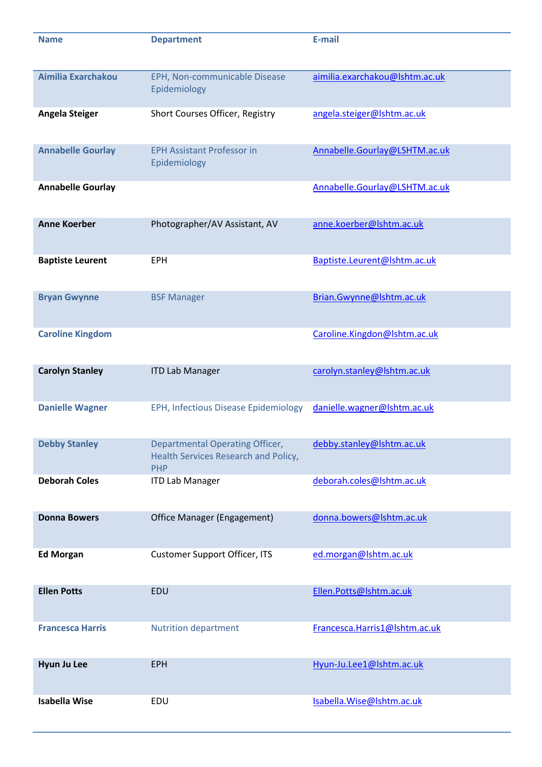| <b>Name</b>              | <b>Department</b>                                                                            | E-mail                         |
|--------------------------|----------------------------------------------------------------------------------------------|--------------------------------|
| Aimilia Exarchakou       | EPH, Non-communicable Disease<br>Epidemiology                                                | aimilia.exarchakou@lshtm.ac.uk |
| <b>Angela Steiger</b>    | Short Courses Officer, Registry                                                              | angela.steiger@lshtm.ac.uk     |
| <b>Annabelle Gourlay</b> | <b>EPH Assistant Professor in</b><br>Epidemiology                                            | Annabelle.Gourlay@LSHTM.ac.uk  |
| <b>Annabelle Gourlay</b> |                                                                                              | Annabelle.Gourlay@LSHTM.ac.uk  |
| <b>Anne Koerber</b>      | Photographer/AV Assistant, AV                                                                | anne.koerber@lshtm.ac.uk       |
| <b>Baptiste Leurent</b>  | <b>EPH</b>                                                                                   | Baptiste.Leurent@lshtm.ac.uk   |
| <b>Bryan Gwynne</b>      | <b>BSF Manager</b>                                                                           | Brian.Gwynne@lshtm.ac.uk       |
| <b>Caroline Kingdom</b>  |                                                                                              | Caroline.Kingdon@Ishtm.ac.uk   |
| <b>Carolyn Stanley</b>   | <b>ITD Lab Manager</b>                                                                       | carolyn.stanley@lshtm.ac.uk    |
| <b>Danielle Wagner</b>   | EPH, Infectious Disease Epidemiology                                                         | danielle.wagner@lshtm.ac.uk    |
| <b>Debby Stanley</b>     | <b>Departmental Operating Officer,</b><br>Health Services Research and Policy,<br><b>PHP</b> | debby.stanley@lshtm.ac.uk      |
| <b>Deborah Coles</b>     | <b>ITD Lab Manager</b>                                                                       | deborah.coles@lshtm.ac.uk      |
| <b>Donna Bowers</b>      | Office Manager (Engagement)                                                                  | donna.bowers@lshtm.ac.uk       |
| <b>Ed Morgan</b>         | <b>Customer Support Officer, ITS</b>                                                         | ed.morgan@lshtm.ac.uk          |
| <b>Ellen Potts</b>       | EDU                                                                                          | Ellen.Potts@lshtm.ac.uk        |
| <b>Francesca Harris</b>  | <b>Nutrition department</b>                                                                  | Francesca.Harris1@lshtm.ac.uk  |
| Hyun Ju Lee              | <b>EPH</b>                                                                                   | Hyun-Ju.Lee1@Ishtm.ac.uk       |
| <b>Isabella Wise</b>     | EDU                                                                                          | Isabella. Wise@Ishtm.ac.uk     |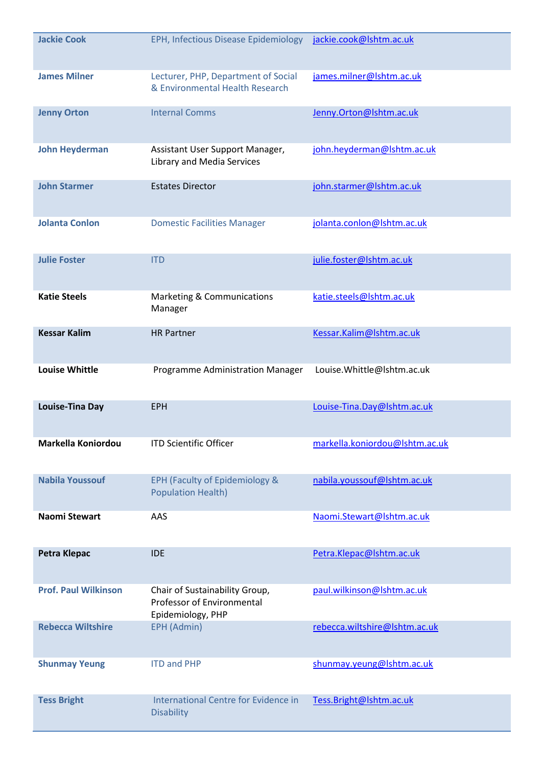| <b>Jackie Cook</b>          | EPH, Infectious Disease Epidemiology                                              | jackie.cook@lshtm.ac.uk        |
|-----------------------------|-----------------------------------------------------------------------------------|--------------------------------|
| <b>James Milner</b>         | Lecturer, PHP, Department of Social<br>& Environmental Health Research            | james.milner@lshtm.ac.uk       |
| <b>Jenny Orton</b>          | <b>Internal Comms</b>                                                             | Jenny.Orton@lshtm.ac.uk        |
| <b>John Heyderman</b>       | Assistant User Support Manager,<br>Library and Media Services                     | john.heyderman@lshtm.ac.uk     |
| <b>John Starmer</b>         | <b>Estates Director</b>                                                           | john.starmer@lshtm.ac.uk       |
| <b>Jolanta Conlon</b>       | <b>Domestic Facilities Manager</b>                                                | jolanta.conlon@lshtm.ac.uk     |
| <b>Julie Foster</b>         | <b>ITD</b>                                                                        | julie.foster@lshtm.ac.uk       |
| <b>Katie Steels</b>         | <b>Marketing &amp; Communications</b><br>Manager                                  | katie.steels@lshtm.ac.uk       |
| <b>Kessar Kalim</b>         | <b>HR Partner</b>                                                                 | Kessar.Kalim@lshtm.ac.uk       |
| <b>Louise Whittle</b>       | Programme Administration Manager                                                  | Louise. Whittle@lshtm.ac.uk    |
| <b>Louise-Tina Day</b>      | <b>EPH</b>                                                                        | Louise-Tina.Day@Ishtm.ac.uk    |
| Markella Koniordou          | <b>ITD Scientific Officer</b>                                                     | markella.koniordou@lshtm.ac.uk |
| <b>Nabila Youssouf</b>      | EPH (Faculty of Epidemiology &<br><b>Population Health)</b>                       | nabila.youssouf@lshtm.ac.uk    |
| Naomi Stewart               | AAS                                                                               | Naomi.Stewart@Ishtm.ac.uk      |
| <b>Petra Klepac</b>         | <b>IDE</b>                                                                        | Petra.Klepac@lshtm.ac.uk       |
| <b>Prof. Paul Wilkinson</b> | Chair of Sustainability Group,<br>Professor of Environmental<br>Epidemiology, PHP | paul.wilkinson@lshtm.ac.uk     |
| <b>Rebecca Wiltshire</b>    | <b>EPH (Admin)</b>                                                                | rebecca.wiltshire@lshtm.ac.uk  |
| <b>Shunmay Yeung</b>        | <b>ITD and PHP</b>                                                                | shunmay.yeung@lshtm.ac.uk      |
| <b>Tess Bright</b>          | International Centre for Evidence in<br><b>Disability</b>                         | Tess.Bright@Ishtm.ac.uk        |